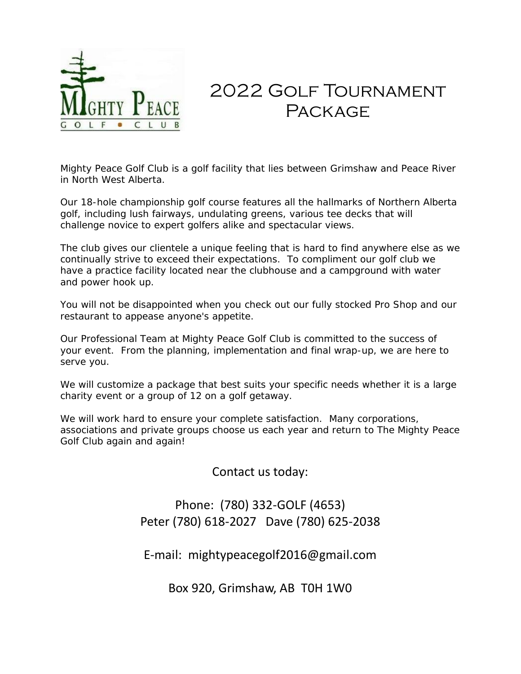

# 2022 Golf Tournament **PACKAGE**

Mighty Peace Golf Club is a golf facility that lies between Grimshaw and Peace River in North West Alberta.

Our 18-hole championship golf course features all the hallmarks of Northern Alberta golf, including lush fairways, undulating greens, various tee decks that will challenge novice to expert golfers alike and spectacular views.

The club gives our clientele a unique feeling that is hard to find anywhere else as we continually strive to exceed their expectations. To compliment our golf club we have a practice facility located near the clubhouse and a campground with water and power hook up.

You will not be disappointed when you check out our fully stocked Pro Shop and our restaurant to appease anyone's appetite.

Our Professional Team at Mighty Peace Golf Club is committed to the success of your event. From the planning, implementation and final wrap-up, we are here to serve you.

We will customize a package that best suits your specific needs whether it is a large charity event or a group of 12 on a golf getaway.

We will work hard to ensure your complete satisfaction. Many corporations, associations and private groups choose us each year and return to The Mighty Peace Golf Club again and again!

Contact us today:

# Phone: (780) 332-GOLF (4653) Peter (780) 618-2027 Dave (780) 625-2038

E-mail: mightypeacegolf2016@gmail.com

Box 920, Grimshaw, AB T0H 1W0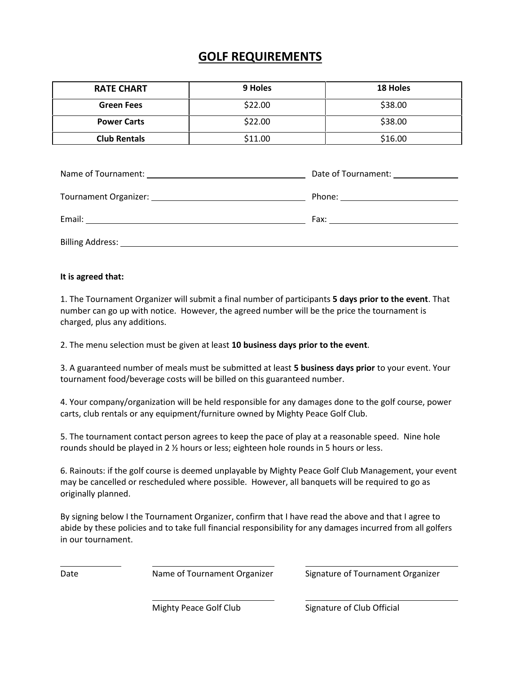# **GOLF REQUIREMENTS**

| <b>RATE CHART</b>   | 9 Holes | <b>18 Holes</b> |
|---------------------|---------|-----------------|
| <b>Green Fees</b>   | \$22.00 | \$38.00         |
| <b>Power Carts</b>  | \$22.00 | \$38.00         |
| <b>Club Rentals</b> | \$11.00 | \$16.00         |

|                  | Date of Tournament: ______________ |
|------------------|------------------------------------|
|                  |                                    |
|                  |                                    |
| Billing Address: |                                    |

#### **It is agreed that:**

1. The Tournament Organizer will submit a final number of participants **5 days prior to the event**. That number can go up with notice. However, the agreed number will be the price the tournament is charged, plus any additions.

2. The menu selection must be given at least **10 business days prior to the event**.

3. A guaranteed number of meals must be submitted at least **5 business days prior** to your event. Your tournament food/beverage costs will be billed on this guaranteed number.

4. Your company/organization will be held responsible for any damages done to the golf course, power carts, club rentals or any equipment/furniture owned by Mighty Peace Golf Club.

5. The tournament contact person agrees to keep the pace of play at a reasonable speed. Nine hole rounds should be played in 2 ½ hours or less; eighteen hole rounds in 5 hours or less.

6. Rainouts: if the golf course is deemed unplayable by Mighty Peace Golf Club Management, your event may be cancelled or rescheduled where possible. However, all banquets will be required to go as originally planned.

By signing below I the Tournament Organizer, confirm that I have read the above and that I agree to abide by these policies and to take full financial responsibility for any damages incurred from all golfers in our tournament.

Date **Name of Tournament Organizer** Signature of Tournament Organizer

Mighty Peace Golf Club Signature of Club Official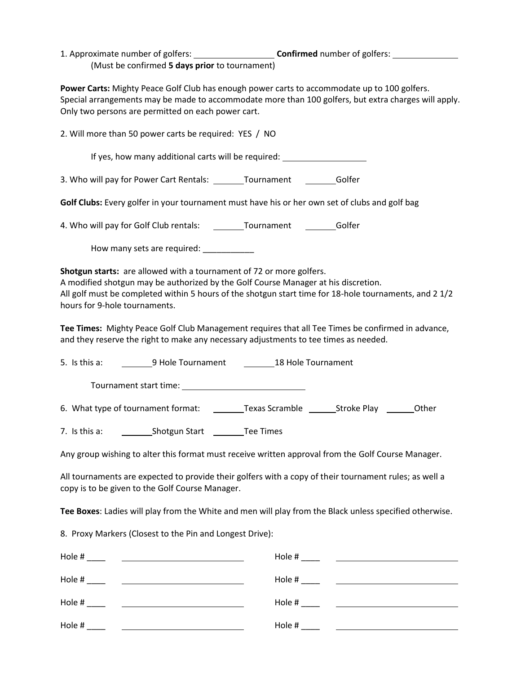| 1. Approximate number of golfers:              | <b>Confirmed</b> number of golfers: |
|------------------------------------------------|-------------------------------------|
| (Must be confirmed 5 days prior to tournament) |                                     |

**Power Carts:** Mighty Peace Golf Club has enough power carts to accommodate up to 100 golfers. Special arrangements may be made to accommodate more than 100 golfers, but extra charges will apply. Only two persons are permitted on each power cart.

2. Will more than 50 power carts be required: YES / NO If yes, how many additional carts will be required: 3. Who will pay for Power Cart Rentals: \_\_\_\_\_\_\_ Tournament \_\_\_\_\_\_\_\_ Golfer **Golf Clubs:** Every golfer in your tournament must have his or her own set of clubs and golf bag 4. Who will pay for Golf Club rentals: Tournament Golfer How many sets are required: \_\_\_\_\_\_\_\_\_\_ **Shotgun starts:** are allowed with a tournament of 72 or more golfers. A modified shotgun may be authorized by the Golf Course Manager at his discretion. All golf must be completed within 5 hours of the shotgun start time for 18-hole tournaments, and 2 1/2 hours for 9-hole tournaments. **Tee Times:** Mighty Peace Golf Club Management requires that all Tee Times be confirmed in advance, and they reserve the right to make any necessary adjustments to tee times as needed. 5. Is this a: 9 Hole Tournament 18 Hole Tournament Tournament start time: 6. What type of tournament format: \_\_\_\_\_\_\_\_\_\_\_Texas Scramble \_\_\_\_\_\_\_\_\_Stroke Play \_\_\_\_\_\_\_\_\_\_Other 7. Is this a: Shotgun Start Tee Times Any group wishing to alter this format must receive written approval from the Golf Course Manager. All tournaments are expected to provide their golfers with a copy of their tournament rules; as well a copy is to be given to the Golf Course Manager. **Tee Boxes**: Ladies will play from the White and men will play from the Black unless specified otherwise. 8. Proxy Markers (Closest to the Pin and Longest Drive): Hole # \_\_\_\_ Hole # \_\_\_\_

| Hole # | Hole # |
|--------|--------|
| Hole # | Hole # |
|        |        |
| Hole # | Hole # |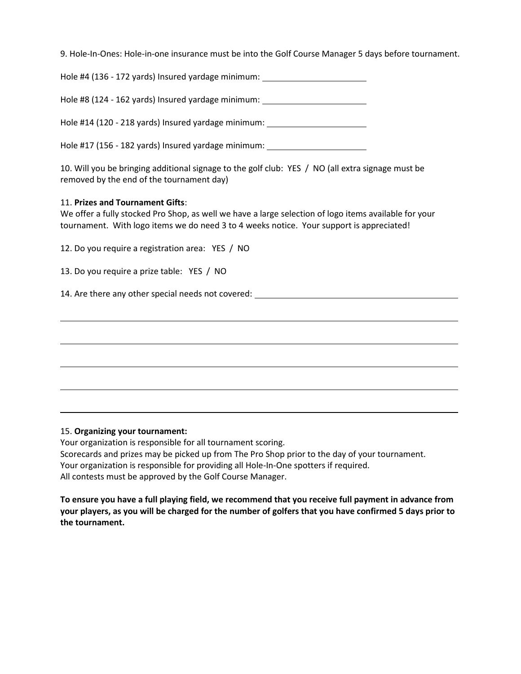9. Hole-In-Ones: Hole-in-one insurance must be into the Golf Course Manager 5 days before tournament.

| Hole #4 (136 - 172 yards) Insured yardage minimum: |  |
|----------------------------------------------------|--|
|----------------------------------------------------|--|

Hole #8 (124 - 162 yards) Insured yardage minimum:

Hole #14 (120 - 218 yards) Insured yardage minimum:

Hole #17 (156 - 182 yards) Insured yardage minimum:

10. Will you be bringing additional signage to the golf club: YES / NO (all extra signage must be removed by the end of the tournament day)

#### 11. **Prizes and Tournament Gifts**:

We offer a fully stocked Pro Shop, as well we have a large selection of logo items available for your tournament. With logo items we do need 3 to 4 weeks notice. Your support is appreciated!

12. Do you require a registration area: YES / NO

13. Do you require a prize table: YES / NO

14. Are there any other special needs not covered:

#### 15. **Organizing your tournament:**

Your organization is responsible for all tournament scoring. Scorecards and prizes may be picked up from The Pro Shop prior to the day of your tournament. Your organization is responsible for providing all Hole-In-One spotters if required. All contests must be approved by the Golf Course Manager.

**To ensure you have a full playing field, we recommend that you receive full payment in advance from your players, as you will be charged for the number of golfers that you have confirmed 5 days prior to the tournament.**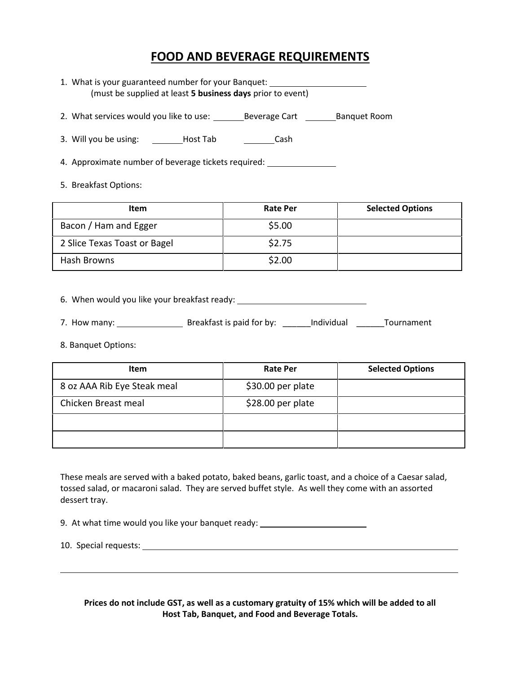## **FOOD AND BEVERAGE REQUIREMENTS**

- 1. What is your guaranteed number for your Banquet: (must be supplied at least **5 business days** prior to event)
- 2. What services would you like to use: Beverage Cart Banquet Room
- 3. Will you be using: \_\_\_\_\_\_\_\_Host Tab \_\_\_\_\_\_\_\_\_\_Cash

4. Approximate number of beverage tickets required:

5. Breakfast Options:

| <b>Item</b>                  | <b>Rate Per</b> | <b>Selected Options</b> |
|------------------------------|-----------------|-------------------------|
| Bacon / Ham and Egger        | \$5.00          |                         |
| 2 Slice Texas Toast or Bagel | \$2.75          |                         |
| Hash Browns                  | \$2.00          |                         |

6. When would you like your breakfast ready:

- 7. How many: Breakfast is paid for by: \_\_\_\_\_\_Individual \_\_\_\_\_\_Tournament
- 8. Banquet Options:

| Item                        | <b>Rate Per</b>    | <b>Selected Options</b> |
|-----------------------------|--------------------|-------------------------|
| 8 oz AAA Rib Eye Steak meal | \$30.00 per plate  |                         |
| Chicken Breast meal         | $$28.00$ per plate |                         |
|                             |                    |                         |
|                             |                    |                         |

These meals are served with a baked potato, baked beans, garlic toast, and a choice of a Caesar salad, tossed salad, or macaroni salad. They are served buffet style. As well they come with an assorted dessert tray.

9. At what time would you like your banquet ready:

10. Special requests:

**Prices do not include GST, as well as a customary gratuity of 15% which will be added to all Host Tab, Banquet, and Food and Beverage Totals.**